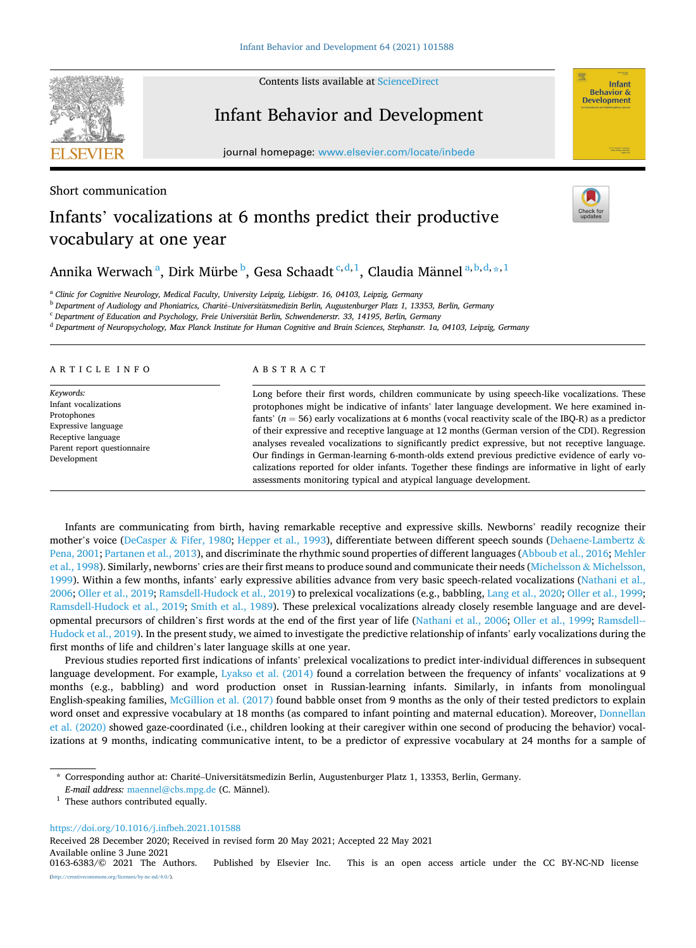Contents lists available at [ScienceDirect](www.sciencedirect.com/science/journal/01636383)

## Infant Behavior and Development

journal homepage: [www.elsevier.com/locate/inbede](https://www.elsevier.com/locate/inbede) 



# Infants' vocalizations at 6 months predict their productive vocabulary at one year

Annika Werwach<sup>a</sup>, Dirk Mürbe<sup>b</sup>, Gesa Schaadt<sup>c,d,1</sup>, Claudia Männel<sup>a,b,d,</sup>\*,<sup>1</sup>

<sup>a</sup> *Clinic for Cognitive Neurology, Medical Faculty, University Leipzig, Liebigstr. 16, 04103, Leipzig, Germany* 

<sup>b</sup> Department of Audiology and Phoniatrics, Charité–Universitätsmedizin Berlin, Augustenburger Platz 1, 13353, Berlin, Germany

<sup>c</sup> Department of Education and Psychology, Freie Universität Berlin, Schwendenerstr. 33, 14195, Berlin, Germany

<sup>d</sup> *Department of Neuropsychology, Max Planck Institute for Human Cognitive and Brain Sciences, Stephanstr. 1a, 04103, Leipzig, Germany* 

## ARTICLE INFO

*Keywords:*  Infant vocalizations Protophones Expressive language Receptive language Parent report questionnaire Development

## ABSTRACT

Long before their first words, children communicate by using speech-like vocalizations. These protophones might be indicative of infants' later language development. We here examined infants' (*n* = 56) early vocalizations at 6 months (vocal reactivity scale of the IBQ-R) as a predictor of their expressive and receptive language at 12 months (German version of the CDI). Regression analyses revealed vocalizations to significantly predict expressive, but not receptive language. Our findings in German-learning 6-month-olds extend previous predictive evidence of early vocalizations reported for older infants. Together these findings are informative in light of early assessments monitoring typical and atypical language development.

Infants are communicating from birth, having remarkable receptive and expressive skills. Newborns' readily recognize their mother's voice (DeCasper & [Fifer, 1980](#page-4-0); [Hepper et al., 1993](#page-4-0)), differentiate between different speech sounds ([Dehaene-Lambertz](#page-4-0) & [Pena, 2001;](#page-4-0) [Partanen et al., 2013](#page-5-0)), and discriminate the rhythmic sound properties of different languages [\(Abboub et al., 2016](#page-4-0); [Mehler](#page-4-0) [et al., 1998\)](#page-4-0). Similarly, newborns' cries are their first means to produce sound and communicate their needs [\(Michelsson](#page-4-0) & Michelsson, [1999\)](#page-4-0). Within a few months, infants' early expressive abilities advance from very basic speech-related vocalizations ([Nathani et al.,](#page-4-0) [2006;](#page-4-0) [Oller et al., 2019](#page-5-0); [Ramsdell-Hudock et al., 2019](#page-5-0)) to prelexical vocalizations (e.g., babbling, [Lang et al., 2020; Oller et al., 1999](#page-4-0); [Ramsdell-Hudock et al., 2019; Smith et al., 1989\)](#page-5-0). These prelexical vocalizations already closely resemble language and are developmental precursors of children's first words at the end of the first year of life ([Nathani et al., 2006](#page-4-0); [Oller et al., 1999;](#page-4-0) [Ramsdell--](#page-5-0)[Hudock et al., 2019](#page-5-0)). In the present study, we aimed to investigate the predictive relationship of infants' early vocalizations during the first months of life and children's later language skills at one year.

Previous studies reported first indications of infants' prelexical vocalizations to predict inter-individual differences in subsequent language development. For example, [Lyakso et al. \(2014\)](#page-4-0) found a correlation between the frequency of infants' vocalizations at 9 months (e.g., babbling) and word production onset in Russian-learning infants. Similarly, in infants from monolingual English-speaking families, [McGillion et al. \(2017\)](#page-4-0) found babble onset from 9 months as the only of their tested predictors to explain word onset and expressive vocabulary at 18 months (as compared to infant pointing and maternal education). Moreover, [Donnellan](#page-4-0) [et al. \(2020\)](#page-4-0) showed gaze-coordinated (i.e., children looking at their caregiver within one second of producing the behavior) vocalizations at 9 months, indicating communicative intent, to be a predictor of expressive vocabulary at 24 months for a sample of

<https://doi.org/10.1016/j.infbeh.2021.101588>

Received 28 December 2020; Received in revised form 20 May 2021; Accepted 22 May 2021

Available online 3 June 2021<br>0163-6383/© 2021 The Authors.





Infant **Behavior & Development** 

<sup>\*</sup> Corresponding author at: Charité-Universitätsmedizin Berlin, Augustenburger Platz 1, 13353, Berlin, Germany.

*E-mail address: [maennel@cbs.mpg.de](mailto:maennel@cbs.mpg.de) (C. Männel).* 

 $^{\rm 1}$  These authors contributed equally.

Published by Elsevier Inc. This is an open access article under the CC BY-NC-ND license [\(http://creativecommons.org/licenses/by-nc-nd/4.0/\)](http://creativecommons.org/licenses/by-nc-nd/4.0/).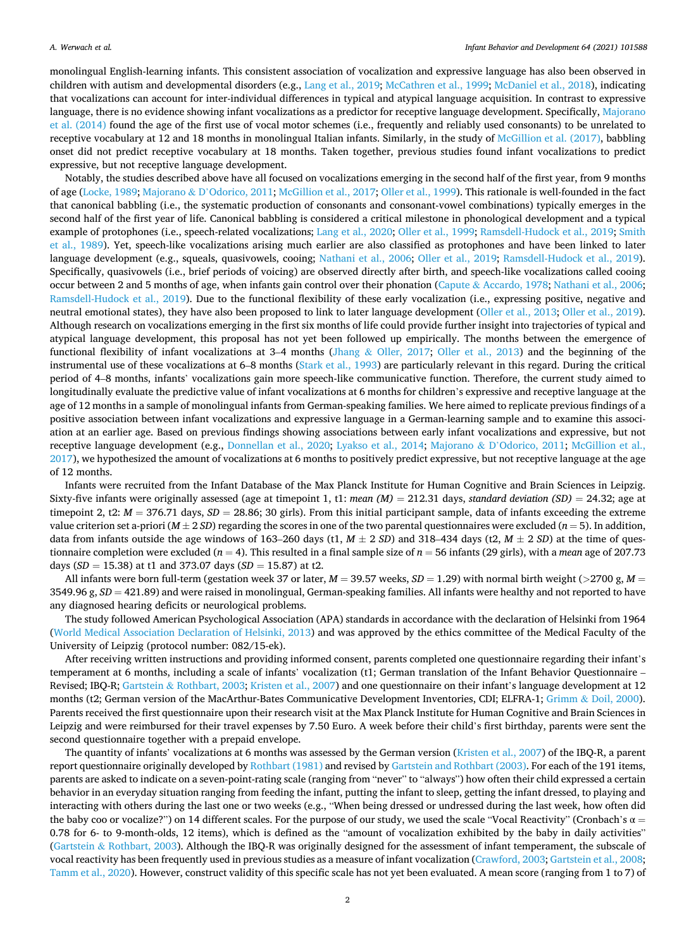monolingual English-learning infants. This consistent association of vocalization and expressive language has also been observed in children with autism and developmental disorders (e.g., [Lang et al., 2019](#page-4-0); [McCathren et al., 1999](#page-4-0); [McDaniel et al., 2018](#page-4-0)), indicating that vocalizations can account for inter-individual differences in typical and atypical language acquisition. In contrast to expressive language, there is no evidence showing infant vocalizations as a predictor for receptive language development. Specifically, [Majorano](#page-4-0) [et al. \(2014\)](#page-4-0) found the age of the first use of vocal motor schemes (i.e., frequently and reliably used consonants) to be unrelated to receptive vocabulary at 12 and 18 months in monolingual Italian infants. Similarly, in the study of [McGillion et al. \(2017\),](#page-4-0) babbling onset did not predict receptive vocabulary at 18 months. Taken together, previous studies found infant vocalizations to predict expressive, but not receptive language development.

Notably, the studies described above have all focused on vocalizations emerging in the second half of the first year, from 9 months of age ([Locke, 1989](#page-4-0); Majorano & D'[Odorico, 2011; McGillion et al., 2017](#page-4-0); [Oller et al., 1999\)](#page-4-0). This rationale is well-founded in the fact that canonical babbling (i.e., the systematic production of consonants and consonant-vowel combinations) typically emerges in the second half of the first year of life. Canonical babbling is considered a critical milestone in phonological development and a typical example of protophones (i.e., speech-related vocalizations; [Lang et al., 2020](#page-4-0); [Oller et al., 1999](#page-4-0); [Ramsdell-Hudock et al., 2019](#page-5-0); [Smith](#page-5-0) [et al., 1989\)](#page-5-0). Yet, speech-like vocalizations arising much earlier are also classified as protophones and have been linked to later language development (e.g., squeals, quasivowels, cooing; [Nathani et al., 2006](#page-4-0); [Oller et al., 2019;](#page-5-0) [Ramsdell-Hudock et al., 2019](#page-5-0)). Specifically, quasivowels (i.e., brief periods of voicing) are observed directly after birth, and speech-like vocalizations called cooing occur between 2 and 5 months of age, when infants gain control over their phonation (Capute & [Accardo, 1978](#page-4-0); [Nathani et al., 2006](#page-4-0); [Ramsdell-Hudock et al., 2019](#page-5-0)). Due to the functional flexibility of these early vocalization (i.e., expressing positive, negative and neutral emotional states), they have also been proposed to link to later language development ([Oller et al., 2013;](#page-4-0) [Oller et al., 2019](#page-5-0)). Although research on vocalizations emerging in the first six months of life could provide further insight into trajectories of typical and atypical language development, this proposal has not yet been followed up empirically. The months between the emergence of functional flexibility of infant vocalizations at 3–4 months (Jhang & [Oller, 2017;](#page-4-0) [Oller et al., 2013](#page-4-0)) and the beginning of the instrumental use of these vocalizations at 6–8 months [\(Stark et al., 1993](#page-5-0)) are particularly relevant in this regard. During the critical period of 4–8 months, infants' vocalizations gain more speech-like communicative function. Therefore, the current study aimed to longitudinally evaluate the predictive value of infant vocalizations at 6 months for children's expressive and receptive language at the age of 12 months in a sample of monolingual infants from German-speaking families. We here aimed to replicate previous findings of a positive association between infant vocalizations and expressive language in a German-learning sample and to examine this association at an earlier age. Based on previous findings showing associations between early infant vocalizations and expressive, but not receptive language development (e.g., [Donnellan et al., 2020](#page-4-0); [Lyakso et al., 2014;](#page-4-0) Majorano & D'[Odorico, 2011](#page-4-0); [McGillion et al.,](#page-4-0) [2017\)](#page-4-0), we hypothesized the amount of vocalizations at 6 months to positively predict expressive, but not receptive language at the age of 12 months.

Infants were recruited from the Infant Database of the Max Planck Institute for Human Cognitive and Brain Sciences in Leipzig. Sixty-five infants were originally assessed (age at timepoint 1, t1: *mean*  $(M) = 212.31$  days, *standard deviation (SD)* = 24.32; age at timepoint 2, t2:  $M = 376.71$  days,  $SD = 28.86$ ; 30 girls). From this initial participant sample, data of infants exceeding the extreme value criterion set a-priori ( $M \pm 2 SD$ ) regarding the scores in one of the two parental questionnaires were excluded ( $n = 5$ ). In addition, data from infants outside the age windows of 163–260 days (t1,  $M \pm 2$  SD) and 318–434 days (t2,  $M \pm 2$  SD) at the time of questionnaire completion were excluded (*n* = 4). This resulted in a final sample size of *n* = 56 infants (29 girls), with a *mean* age of 207.73 days (*SD* = 15.38) at t1 and 373.07 days (*SD* = 15.87) at t2.

All infants were born full-term (gestation week 37 or later,  $M = 39.57$  weeks,  $SD = 1.29$ ) with normal birth weight ( $>$ 2700 g,  $M =$ 3549.96 g, *SD* = 421.89) and were raised in monolingual, German-speaking families. All infants were healthy and not reported to have any diagnosed hearing deficits or neurological problems.

The study followed American Psychological Association (APA) standards in accordance with the declaration of Helsinki from 1964 [\(World Medical Association Declaration of Helsinki, 2013](#page-5-0)) and was approved by the ethics committee of the Medical Faculty of the University of Leipzig (protocol number: 082/15-ek).

After receiving written instructions and providing informed consent, parents completed one questionnaire regarding their infant's temperament at 6 months, including a scale of infants' vocalization (t1; German translation of the Infant Behavior Questionnaire – Revised; IBQ-R; Gartstein & [Rothbart, 2003; Kristen et al., 2007\)](#page-4-0) and one questionnaire on their infant's language development at 12 months (t2; German version of the MacArthur-Bates Communicative Development Inventories, CDI; ELFRA-1; Grimm & [Doil, 2000](#page-4-0)). Parents received the first questionnaire upon their research visit at the Max Planck Institute for Human Cognitive and Brain Sciences in Leipzig and were reimbursed for their travel expenses by 7.50 Euro. A week before their child's first birthday, parents were sent the second questionnaire together with a prepaid envelope.

The quantity of infants' vocalizations at 6 months was assessed by the German version ([Kristen et al., 2007\)](#page-4-0) of the IBQ-R, a parent report questionnaire originally developed by [Rothbart \(1981\)](#page-5-0) and revised by [Gartstein and Rothbart \(2003\).](#page-4-0) For each of the 191 items, parents are asked to indicate on a seven-point-rating scale (ranging from "never" to "always") how often their child expressed a certain behavior in an everyday situation ranging from feeding the infant, putting the infant to sleep, getting the infant dressed, to playing and interacting with others during the last one or two weeks (e.g., "When being dressed or undressed during the last week, how often did the baby coo or vocalize?") on 14 different scales. For the purpose of our study, we used the scale "Vocal Reactivity" (Cronbach's  $\alpha$  = 0.78 for 6- to 9-month-olds, 12 items), which is defined as the "amount of vocalization exhibited by the baby in daily activities" (Gartstein & [Rothbart, 2003](#page-4-0)). Although the IBQ-R was originally designed for the assessment of infant temperament, the subscale of vocal reactivity has been frequently used in previous studies as a measure of infant vocalization [\(Crawford, 2003; Gartstein et al., 2008](#page-4-0); [Tamm et al., 2020](#page-5-0)). However, construct validity of this specific scale has not yet been evaluated. A mean score (ranging from 1 to 7) of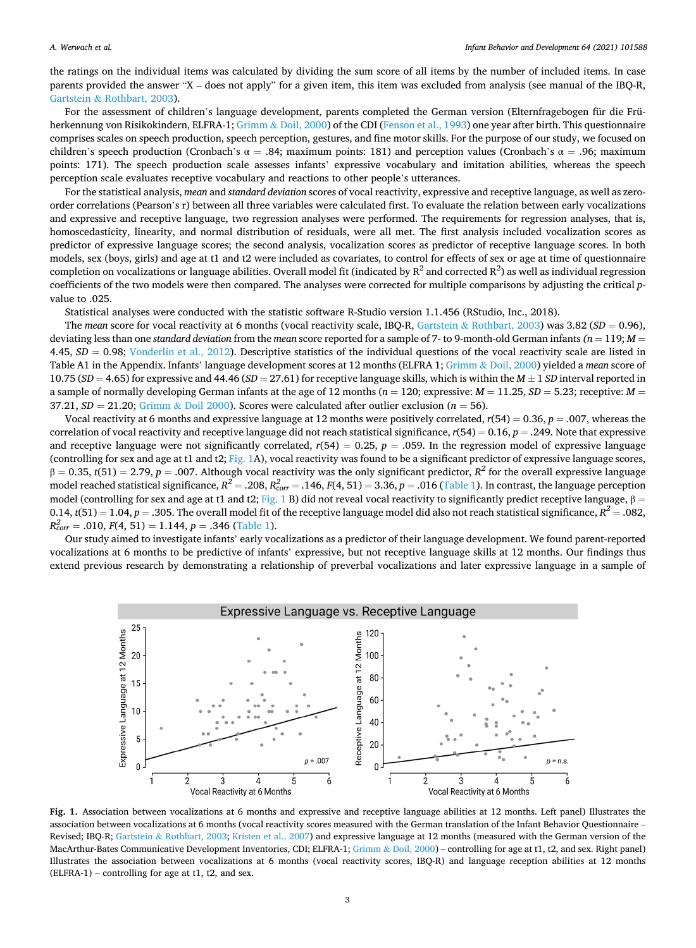the ratings on the individual items was calculated by dividing the sum score of all items by the number of included items. In case parents provided the answer "X – does not apply" for a given item, this item was excluded from analysis (see manual of the IBQ-R, Gartstein & [Rothbart, 2003\)](#page-4-0).

For the assessment of children's language development, parents completed the German version (Elternfragebogen für die Frü-herkennung von Risikokindern, ELFRA-1; Grimm & [Doil, 2000\)](#page-4-0) of the CDI ([Fenson et al., 1993](#page-4-0)) one year after birth. This questionnaire comprises scales on speech production, speech perception, gestures, and fine motor skills. For the purpose of our study, we focused on children's speech production (Cronbach's α = .84; maximum points: 181) and perception values (Cronbach's α = .96; maximum points: 171). The speech production scale assesses infants' expressive vocabulary and imitation abilities, whereas the speech perception scale evaluates receptive vocabulary and reactions to other people's utterances.

For the statistical analysis, *mean* and *standard deviation* scores of vocal reactivity, expressive and receptive language, as well as zeroorder correlations (Pearson's r) between all three variables were calculated first. To evaluate the relation between early vocalizations and expressive and receptive language, two regression analyses were performed. The requirements for regression analyses, that is, homoscedasticity, linearity, and normal distribution of residuals, were all met. The first analysis included vocalization scores as predictor of expressive language scores; the second analysis, vocalization scores as predictor of receptive language scores. In both models, sex (boys, girls) and age at t1 and t2 were included as covariates, to control for effects of sex or age at time of questionnaire completion on vocalizations or language abilities. Overall model fit (indicated by  $R^2$  and corrected  $R^2$ ) as well as individual regression coefficients of the two models were then compared. The analyses were corrected for multiple comparisons by adjusting the critical *p*value to .025.

Statistical analyses were conducted with the statistic software R-Studio version 1.1.456 (RStudio, Inc., 2018).

The *mean* score for vocal reactivity at 6 months (vocal reactivity scale, IBQ-R, Gartstein & [Rothbart, 2003\)](#page-4-0) was 3.82 (*SD* = 0.96), deviating less than one *standard deviation* from the *mean* score reported for a sample of 7- to 9-month-old German infants *(n* = 119; *M* = 4.45,  $SD = 0.98$ ; [Vonderlin et al., 2012](#page-5-0)). Descriptive statistics of the individual questions of the vocal reactivity scale are listed in Table A1 in the Appendix. Infants' language development scores at 12 months (ELFRA 1; Grimm & [Doil, 2000](#page-4-0)) yielded a *mean* score of 10.75 (*SD* = 4.65) for expressive and 44.46 (*SD* = 27.61) for receptive language skills, which is within the *M* ± 1 *SD* interval reported in a sample of normally developing German infants at the age of 12 months ( $n = 120$ ; expressive:  $M = 11.25$ ,  $SD = 5.23$ ; receptive:  $M = 120$ 37.21,  $SD = 21.20$ ; Grimm & [Doil 2000\)](#page-4-0). Scores were calculated after outlier exclusion ( $n = 56$ ).

Vocal reactivity at 6 months and expressive language at 12 months were positively correlated, *r*(54) = 0.36, *p* = .007, whereas the correlation of vocal reactivity and receptive language did not reach statistical significance,  $r(54) = 0.16$ ,  $p = .249$ . Note that expressive and receptive language were not significantly correlated,  $r(54) = 0.25$ ,  $p = .059$ . In the regression model of expressive language (controlling for sex and age at t1 and t2; Fig. 1A), vocal reactivity was found to be a significant predictor of expressive language scores,  $β = 0.35$ ,  $t(51) = 2.79$ ,  $p = .007$ . Although vocal reactivity was the only significant predictor,  $R^2$  for the overall expressive language model reached statistical significance,  $R^2 = .208$ ,  $R^2_{corr} = .146$ ,  $F(4, 51) = 3.36$ ,  $p = .016$  ([Table 1\)](#page-3-0). In contrast, the language perception model (controlling for sex and age at t1 and t2; Fig. 1 B) did not reveal vocal reactivity to significantly predict receptive language,  $\beta$  =  $0.14$ ,  $t(51) = 1.04$ ,  $p = .305$ . The overall model fit of the receptive language model did also not reach statistical significance,  $R^2 = .082$ ,  $R_{corr}^2 = .010, F(4, 51) = 1.144, p = .346$  [\(Table 1\)](#page-3-0).

Our study aimed to investigate infants' early vocalizations as a predictor of their language development. We found parent-reported vocalizations at 6 months to be predictive of infants' expressive, but not receptive language skills at 12 months. Our findings thus extend previous research by demonstrating a relationship of preverbal vocalizations and later expressive language in a sample of



**Fig. 1.** Association between vocalizations at 6 months and expressive and receptive language abilities at 12 months. Left panel) Illustrates the association between vocalizations at 6 months (vocal reactivity scores measured with the German translation of the Infant Behavior Questionnaire – Revised; IBQ-R; Gartstein & [Rothbart, 2003;](#page-4-0) [Kristen et al., 2007](#page-4-0)) and expressive language at 12 months (measured with the German version of the MacArthur-Bates Communicative Development Inventories, CDI; ELFRA-1; Grimm & [Doil, 2000](#page-4-0)) – controlling for age at t1, t2, and sex. Right panel) Illustrates the association between vocalizations at 6 months (vocal reactivity scores, IBQ-R) and language reception abilities at 12 months (ELFRA-1) – controlling for age at t1, t2, and sex.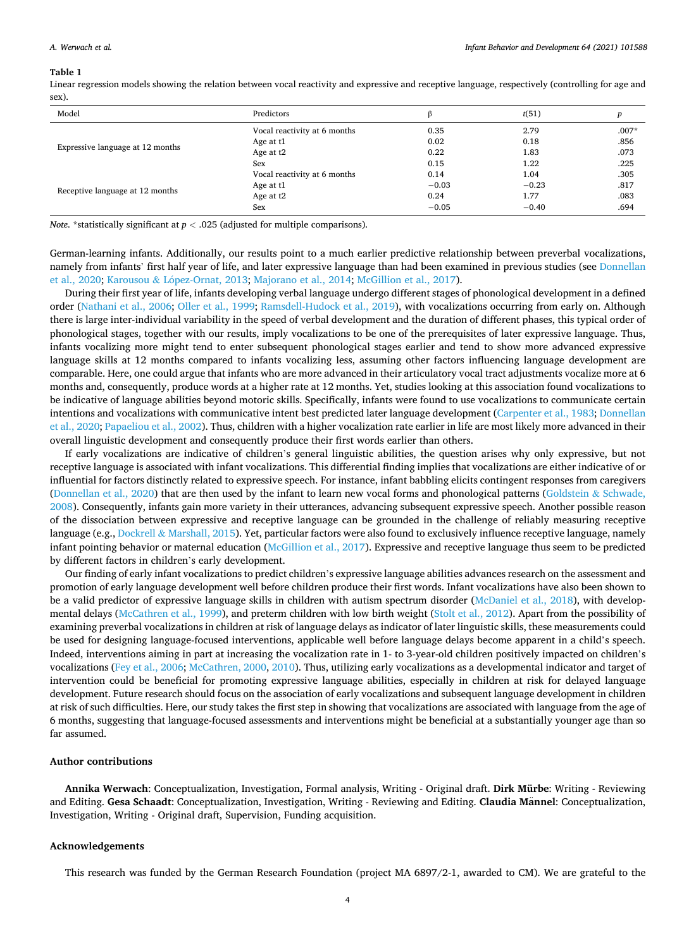#### <span id="page-3-0"></span>**Table 1**

Linear regression models showing the relation between vocal reactivity and expressive and receptive language, respectively (controlling for age and sex).

| Model                            | Predictors                   |         | t(51)   |         |
|----------------------------------|------------------------------|---------|---------|---------|
| Expressive language at 12 months | Vocal reactivity at 6 months | 0.35    | 2.79    | $.007*$ |
|                                  | Age at t1                    | 0.02    | 0.18    | .856    |
|                                  | Age at t2                    | 0.22    | 1.83    | .073    |
|                                  | Sex                          | 0.15    | 1.22    | .225    |
| Receptive language at 12 months  | Vocal reactivity at 6 months | 0.14    | 1.04    | .305    |
|                                  | Age at t1                    | $-0.03$ | $-0.23$ | .817    |
|                                  | Age at t2                    | 0.24    | 1.77    | .083    |
|                                  | Sex                          | $-0.05$ | $-0.40$ | .694    |

*Note*. \*statistically significant at *p <* .025 (adjusted for multiple comparisons).

German-learning infants. Additionally, our results point to a much earlier predictive relationship between preverbal vocalizations, namely from infants' first half year of life, and later expressive language than had been examined in previous studies (see [Donnellan](#page-4-0) [et al., 2020](#page-4-0); Karousou & López-Ornat, 2013; [Majorano et al., 2014;](#page-4-0) [McGillion et al., 2017\)](#page-4-0).

During their first year of life, infants developing verbal language undergo different stages of phonological development in a defined order [\(Nathani et al., 2006](#page-4-0); [Oller et al., 1999](#page-4-0); [Ramsdell-Hudock et al., 2019](#page-5-0)), with vocalizations occurring from early on. Although there is large inter-individual variability in the speed of verbal development and the duration of different phases, this typical order of phonological stages, together with our results, imply vocalizations to be one of the prerequisites of later expressive language. Thus, infants vocalizing more might tend to enter subsequent phonological stages earlier and tend to show more advanced expressive language skills at 12 months compared to infants vocalizing less, assuming other factors influencing language development are comparable. Here, one could argue that infants who are more advanced in their articulatory vocal tract adjustments vocalize more at 6 months and, consequently, produce words at a higher rate at 12 months. Yet, studies looking at this association found vocalizations to be indicative of language abilities beyond motoric skills. Specifically, infants were found to use vocalizations to communicate certain intentions and vocalizations with communicative intent best predicted later language development [\(Carpenter et al., 1983; Donnellan](#page-4-0) [et al., 2020](#page-4-0); [Papaeliou et al., 2002\)](#page-5-0). Thus, children with a higher vocalization rate earlier in life are most likely more advanced in their overall linguistic development and consequently produce their first words earlier than others.

If early vocalizations are indicative of children's general linguistic abilities, the question arises why only expressive, but not receptive language is associated with infant vocalizations. This differential finding implies that vocalizations are either indicative of or influential for factors distinctly related to expressive speech. For instance, infant babbling elicits contingent responses from caregivers [\(Donnellan et al., 2020\)](#page-4-0) that are then used by the infant to learn new vocal forms and phonological patterns ([Goldstein](#page-4-0) & Schwade, [2008\)](#page-4-0). Consequently, infants gain more variety in their utterances, advancing subsequent expressive speech. Another possible reason of the dissociation between expressive and receptive language can be grounded in the challenge of reliably measuring receptive language (e.g., Dockrell & [Marshall, 2015](#page-4-0)). Yet, particular factors were also found to exclusively influence receptive language, namely infant pointing behavior or maternal education [\(McGillion et al., 2017\)](#page-4-0). Expressive and receptive language thus seem to be predicted by different factors in children's early development.

Our finding of early infant vocalizations to predict children's expressive language abilities advances research on the assessment and promotion of early language development well before children produce their first words. Infant vocalizations have also been shown to be a valid predictor of expressive language skills in children with autism spectrum disorder ([McDaniel et al., 2018](#page-4-0)), with developmental delays ([McCathren et al., 1999\)](#page-4-0), and preterm children with low birth weight ([Stolt et al., 2012](#page-5-0)). Apart from the possibility of examining preverbal vocalizations in children at risk of language delays as indicator of later linguistic skills, these measurements could be used for designing language-focused interventions, applicable well before language delays become apparent in a child's speech. Indeed, interventions aiming in part at increasing the vocalization rate in 1- to 3-year-old children positively impacted on children's vocalizations ([Fey et al., 2006; McCathren, 2000, 2010\)](#page-4-0). Thus, utilizing early vocalizations as a developmental indicator and target of intervention could be beneficial for promoting expressive language abilities, especially in children at risk for delayed language development. Future research should focus on the association of early vocalizations and subsequent language development in children at risk of such difficulties. Here, our study takes the first step in showing that vocalizations are associated with language from the age of 6 months, suggesting that language-focused assessments and interventions might be beneficial at a substantially younger age than so far assumed.

## **Author contributions**

**Annika Werwach**: Conceptualization, Investigation, Formal analysis, Writing - Original draft. **Dirk Mürbe**: Writing - Reviewing and Editing. Gesa Schaadt: Conceptualization, Investigation, Writing - Reviewing and Editing. Claudia Männel: Conceptualization, Investigation, Writing - Original draft, Supervision, Funding acquisition.

## **Acknowledgements**

This research was funded by the German Research Foundation (project MA 6897/2-1, awarded to CM). We are grateful to the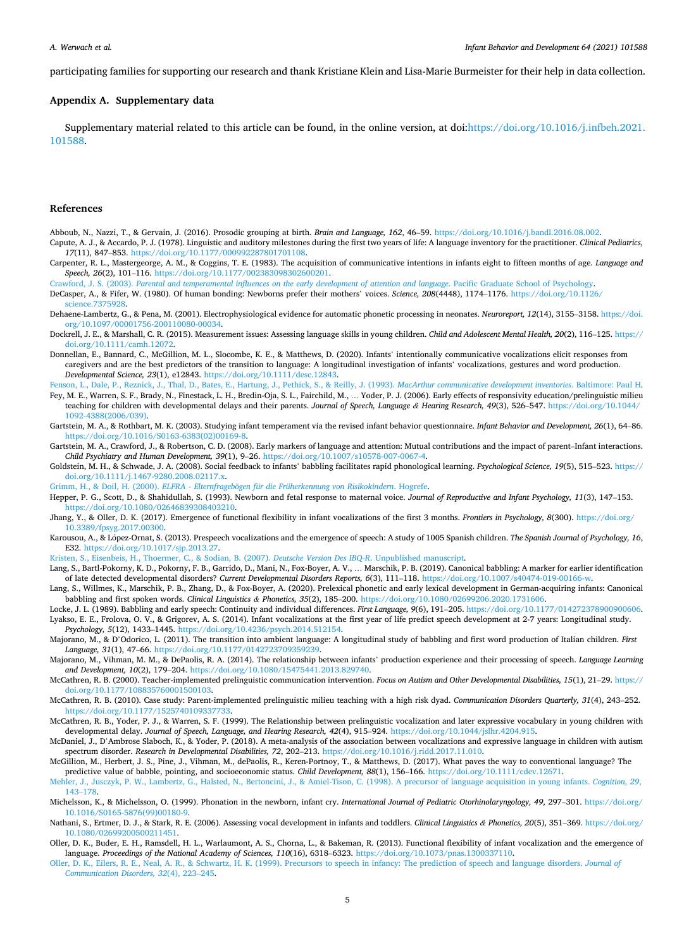<span id="page-4-0"></span>participating families for supporting our research and thank Kristiane Klein and Lisa-Marie Burmeister for their help in data collection.

## **Appendix A. Supplementary data**

Supplementary material related to this article can be found, in the online version, at doi[:https://doi.org/10.1016/j.infbeh.2021.](https://doi.org/10.1016/j.infbeh.2021.101588) [101588.](https://doi.org/10.1016/j.infbeh.2021.101588)

## **References**

- Abboub, N., Nazzi, T., & Gervain, J. (2016). Prosodic grouping at birth. *Brain and Language, 162*, 46–59. <https://doi.org/10.1016/j.bandl.2016.08.002>. Capute, A. J., & Accardo, P. J. (1978). Linguistic and auditory milestones during the first two years of life: A language inventory for the practitioner. *Clinical Pediatrics,*
- *17*(11), 847–853. [https://doi.org/10.1177/000992287801701108.](https://doi.org/10.1177/000992287801701108)
- Carpenter, R. L., Mastergeorge, A. M., & Coggins, T. E. (1983). The acquisition of communicative intentions in infants eight to fifteen months of age. *Language and Speech, 26*(2), 101–116. <https://doi.org/10.1177/002383098302600201>.

Crawford, J. S. (2003). *[Parental and temperamental influences on the early development of attention and language](http://refhub.elsevier.com/S0163-6383(21)00063-1/sbref0020)*. Pacific Graduate School of Psychology.

DeCasper, A., & Fifer, W. (1980). Of human bonding: Newborns prefer their mothers' voices. *Science, 208*(4448), 1174–1176. [https://doi.org/10.1126/](https://doi.org/10.1126/science.7375928)  [science.7375928](https://doi.org/10.1126/science.7375928).

Dehaene-Lambertz, G., & Pena, M. (2001). Electrophysiological evidence for automatic phonetic processing in neonates. *Neuroreport, 12*(14), 3155–3158. [https://doi.](https://doi.org/10.1097/00001756-200110080-00034) [org/10.1097/00001756-200110080-00034.](https://doi.org/10.1097/00001756-200110080-00034)

Dockrell, J. E., & Marshall, C. R. (2015). Measurement issues: Assessing language skills in young children. *Child and Adolescent Mental Health, 20*(2), 116–125. [https://](https://doi.org/10.1111/camh.12072) [doi.org/10.1111/camh.12072.](https://doi.org/10.1111/camh.12072)

- Donnellan, E., Bannard, C., McGillion, M. L., Slocombe, K. E., & Matthews, D. (2020). Infants' intentionally communicative vocalizations elicit responses from caregivers and are the best predictors of the transition to language: A longitudinal investigation of infants' vocalizations, gestures and word production. *Developmental Science, 23*(1), e12843. <https://doi.org/10.1111/desc.12843>.
- [Fenson, L., Dale, P., Reznick, J., Thal, D., Bates, E., Hartung, J., Pethick, S., & Reilly, J. \(1993\).](http://refhub.elsevier.com/S0163-6383(21)00063-1/sbref0045) *MacArthur communicative development inventories*. Baltimore: Paul H. Fey, M. E., Warren, S. F., Brady, N., Finestack, L. H., Bredin-Oja, S. L., Fairchild, M., … Yoder, P. J. (2006). Early effects of responsivity education/prelinguistic milieu teaching for children with developmental delays and their parents. *Journal of Speech, Language & Hearing Research, 49*(3), 526–547. [https://doi.org/10.1044/](https://doi.org/10.1044/1092-4388(2006/039))  [1092-4388\(2006/039\).](https://doi.org/10.1044/1092-4388(2006/039))
- Gartstein, M. A., & Rothbart, M. K. (2003). Studying infant temperament via the revised infant behavior questionnaire. *Infant Behavior and Development, 26*(1), 64–86. [https://doi.org/10.1016/S0163-6383\(02\)00169-8](https://doi.org/10.1016/S0163-6383(02)00169-8).
- Gartstein, M. A., Crawford, J., & Robertson, C. D. (2008). Early markers of language and attention: Mutual contributions and the impact of parent–Infant interactions. *Child Psychiatry and Human Development, 39*(1), 9–26. <https://doi.org/10.1007/s10578-007-0067-4>.
- Goldstein, M. H., & Schwade, J. A. (2008). Social feedback to infants' babbling facilitates rapid phonological learning. *Psychological Science, 19*(5), 515–523. [https://](https://doi.org/10.1111/j.1467-9280.2008.02117.x) [doi.org/10.1111/j.1467-9280.2008.02117.x.](https://doi.org/10.1111/j.1467-9280.2008.02117.x)

Grimm, H., & Doil, H. (2000). *ELFRA - Elternfragebögen [für die Früherkennung von Risikokindern](http://refhub.elsevier.com/S0163-6383(21)00063-1/sbref0070)*. Hogrefe.

- Hepper, P. G., Scott, D., & Shahidullah, S. (1993). Newborn and fetal response to maternal voice. *Journal of Reproductive and Infant Psychology, 11*(3), 147–153. [https://doi.org/10.1080/02646839308403210.](https://doi.org/10.1080/02646839308403210)
- Jhang, Y., & Oller, D. K. (2017). Emergence of functional flexibility in infant vocalizations of the first 3 months. *Frontiers in Psychology, 8*(300). [https://doi.org/](https://doi.org/10.3389/fpsyg.2017.00300)  [10.3389/fpsyg.2017.00300](https://doi.org/10.3389/fpsyg.2017.00300).
- Karousou, A., & López-Ornat, S. (2013). Prespeech vocalizations and the emergence of speech: A study of 1005 Spanish children. *The Spanish Journal of Psychology, 16*, E32. [https://doi.org/10.1017/sjp.2013.27.](https://doi.org/10.1017/sjp.2013.27)

[Kristen, S., Eisenbeis, H., Thoermer, C., & Sodian, B. \(2007\).](http://refhub.elsevier.com/S0163-6383(21)00063-1/sbref0090) *Deutsche Version Des IBQ-R*. Unpublished manuscript.

- Lang, S., Bartl-Pokorny, K. D., Pokorny, F. B., Garrido, D., Mani, N., Fox-Boyer, A. V., … Marschik, P. B. (2019). Canonical babbling: A marker for earlier identification of late detected developmental disorders? *Current Developmental Disorders Reports, 6*(3), 111–118. [https://doi.org/10.1007/s40474-019-00166-w.](https://doi.org/10.1007/s40474-019-00166-w)
- Lang, S., Willmes, K., Marschik, P. B., Zhang, D., & Fox-Boyer, A. (2020). Prelexical phonetic and early lexical development in German-acquiring infants: Canonical babbling and first spoken words. *Clinical Linguistics & Phonetics, 35*(2), 185–200. [https://doi.org/10.1080/02699206.2020.1731606.](https://doi.org/10.1080/02699206.2020.1731606)
- Locke, J. L. (1989). Babbling and early speech: Continuity and individual differences. *First Language, 9*(6), 191–205. [https://doi.org/10.1177/014272378900900606.](https://doi.org/10.1177/014272378900900606) Lyakso, E. E., Frolova, O. V., & Grigorev, A. S. (2014). Infant vocalizations at the first year of life predict speech development at 2-7 years: Longitudinal study. *Psychology, 5*(12), 1433–1445. [https://doi.org/10.4236/psych.2014.512154.](https://doi.org/10.4236/psych.2014.512154)
- Majorano, M., & D'Odorico, L. (2011). The transition into ambient language: A longitudinal study of babbling and first word production of Italian children. *First Language, 31*(1), 47–66. [https://doi.org/10.1177/0142723709359239.](https://doi.org/10.1177/0142723709359239)

Majorano, M., Vihman, M. M., & DePaolis, R. A. (2014). The relationship between infants' production experience and their processing of speech. *Language Learning and Development, 10*(2), 179–204. [https://doi.org/10.1080/15475441.2013.829740.](https://doi.org/10.1080/15475441.2013.829740)

- McCathren, R. B. (2000). Teacher-implemented prelinguistic communication intervention. *Focus on Autism and Other Developmental Disabilities, 15*(1), 21–29. [https://](https://doi.org/10.1177/108835760001500103) [doi.org/10.1177/108835760001500103](https://doi.org/10.1177/108835760001500103).
- McCathren, R. B. (2010). Case study: Parent-implemented prelinguistic milieu teaching with a high risk dyad. *Communication Disorders Quarterly, 31*(4), 243–252. <https://doi.org/10.1177/1525740109337733>.

McCathren, R. B., Yoder, P. J., & Warren, S. F. (1999). The Relationship between prelinguistic vocalization and later expressive vocabulary in young children with developmental delay. *Journal of Speech, Language, and Hearing Research, 42*(4), 915–924. [https://doi.org/10.1044/jslhr.4204.915.](https://doi.org/10.1044/jslhr.4204.915)

McDaniel, J., D'Ambrose Slaboch, K., & Yoder, P. (2018). A meta-analysis of the association between vocalizations and expressive language in children with autism spectrum disorder. *Research in Developmental Disabilities, 72*, 202–213.<https://doi.org/10.1016/j.ridd.2017.11.010>.

McGillion, M., Herbert, J. S., Pine, J., Vihman, M., dePaolis, R., Keren-Portnoy, T., & Matthews, D. (2017). What paves the way to conventional language? The predictive value of babble, pointing, and socioeconomic status. *Child Development, 88*(1), 156–166. [https://doi.org/10.1111/cdev.12671.](https://doi.org/10.1111/cdev.12671)

[Mehler, J., Jusczyk, P. W., Lambertz, G., Halsted, N., Bertoncini, J., & Amiel-Tison, C. \(1998\). A precursor of language acquisition in young infants.](http://refhub.elsevier.com/S0163-6383(21)00063-1/sbref0150) *Cognition, 29*, 143–[178.](http://refhub.elsevier.com/S0163-6383(21)00063-1/sbref0150)

Michelsson, K., & Michelsson, O. (1999). Phonation in the newborn, infant cry. *International Journal of Pediatric Otorhinolaryngology, 49*, 297–301. [https://doi.org/](https://doi.org/10.1016/S0165-5876(99)00180-9)  [10.1016/S0165-5876\(99\)00180-9](https://doi.org/10.1016/S0165-5876(99)00180-9).

- Nathani, S., Ertmer, D. J., & Stark, R. E. (2006). Assessing vocal development in infants and toddlers. *Clinical Linguistics & Phonetics, 20*(5), 351–369. [https://doi.org/](https://doi.org/10.1080/02699200500211451) [10.1080/02699200500211451](https://doi.org/10.1080/02699200500211451).
- Oller, D. K., Buder, E. H., Ramsdell, H. L., Warlaumont, A. S., Chorna, L., & Bakeman, R. (2013). Functional flexibility of infant vocalization and the emergence of language. *Proceedings of the National Academy of Sciences, 110*(16), 6318–6323. [https://doi.org/10.1073/pnas.1300337110.](https://doi.org/10.1073/pnas.1300337110)
- [Oller, D. K., Eilers, R. E., Neal, A. R., & Schwartz, H. K. \(1999\). Precursors to speech in infancy: The prediction of speech and language disorders.](http://refhub.elsevier.com/S0163-6383(21)00063-1/sbref0170) *Journal of [Communication Disorders, 32](http://refhub.elsevier.com/S0163-6383(21)00063-1/sbref0170)*(4), 223–245.